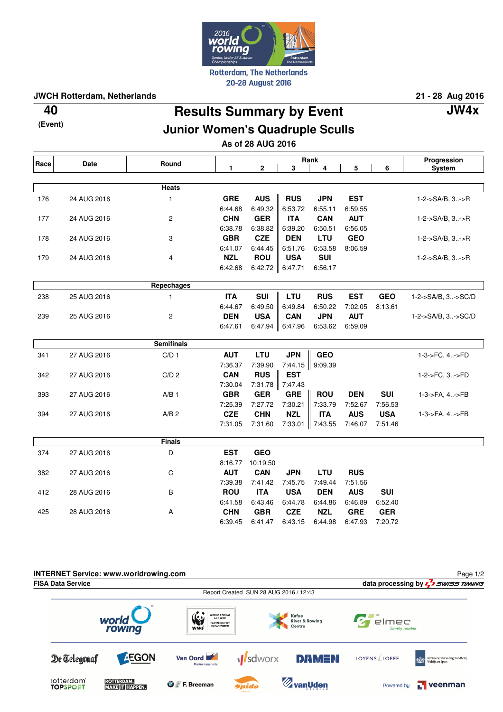

**JWCH Rotterdam, Netherlands 21 - 28 Aug 2016**

**(Event)**

**Results Summary by Event 40 JW4x**

## **Junior Women's Quadruple Sculls**

**As of 28 AUG 2016**

| Race | <b>Date</b> | Round             | Rank         |              |                 |            |            |            | Progression        |
|------|-------------|-------------------|--------------|--------------|-----------------|------------|------------|------------|--------------------|
|      |             |                   | $\mathbf{1}$ | $\mathbf{2}$ | 3               | 4          | 5          | 6          | <b>System</b>      |
|      |             |                   |              |              |                 |            |            |            |                    |
|      |             | <b>Heats</b>      |              |              |                 |            |            |            |                    |
| 176  | 24 AUG 2016 | $\mathbf{1}$      | <b>GRE</b>   | <b>AUS</b>   | <b>RUS</b>      | <b>JPN</b> | <b>EST</b> |            | 1-2->SA/B, 3->R    |
|      |             |                   | 6:44.68      | 6:49.32      | 6:53.72         | 6:55.11    | 6:59.55    |            |                    |
| 177  | 24 AUG 2016 | $\overline{c}$    | <b>CHN</b>   | <b>GER</b>   | <b>ITA</b>      | <b>CAN</b> | <b>AUT</b> |            | 1-2->SA/B, 3->R    |
|      |             |                   | 6:38.78      | 6:38.82      | 6:39.20         | 6:50.51    | 6:56.05    |            |                    |
| 178  | 24 AUG 2016 | 3                 | <b>GBR</b>   | <b>CZE</b>   | <b>DEN</b>      | LTU        | <b>GEO</b> |            | 1-2->SA/B, 3->R    |
|      |             |                   | 6:41.07      | 6:44.45      | 6:51.76         | 6:53.58    | 8:06.59    |            |                    |
| 179  | 24 AUG 2016 | 4                 | <b>NZL</b>   | <b>ROU</b>   | <b>USA</b>      | <b>SUI</b> |            |            | 1-2->SA/B, 3->R    |
|      |             |                   | 6:42.68      | 6:42.72      | 6:47.71         | 6:56.17    |            |            |                    |
|      |             | Repechages        |              |              |                 |            |            |            |                    |
|      |             |                   |              |              |                 |            |            |            |                    |
| 238  | 25 AUG 2016 | $\mathbf{1}$      | <b>ITA</b>   | <b>SUI</b>   | LTU             | <b>RUS</b> | <b>EST</b> | <b>GEO</b> | 1-2->SA/B, 3->SC/D |
|      |             |                   | 6:44.67      | 6:49.50      | 6:49.84         | 6:50.22    | 7:02.05    | 8:13.61    |                    |
| 239  | 25 AUG 2016 | $\overline{c}$    | <b>DEN</b>   | <b>USA</b>   | <b>CAN</b>      | <b>JPN</b> | <b>AUT</b> |            | 1-2->SA/B, 3->SC/D |
|      |             |                   | 6:47.61      | 6:47.94      | 6:47.96         | 6:53.62    | 6:59.09    |            |                    |
|      |             | <b>Semifinals</b> |              |              |                 |            |            |            |                    |
| 341  | 27 AUG 2016 | C/D <sub>1</sub>  | <b>AUT</b>   | LTU          | <b>JPN</b>      | <b>GEO</b> |            |            | 1-3->FC, 4->FD     |
|      |             |                   | 7:36.37      | 7:39.90      | 7:44.15         | 9:09.39    |            |            |                    |
| 342  | 27 AUG 2016 | C/D <sub>2</sub>  | <b>CAN</b>   | <b>RUS</b>   | <b>EST</b>      |            |            |            | 1-2->FC, 3->FD     |
|      |             |                   | 7:30.04      |              | 7:31.78 7:47.43 |            |            |            |                    |
| 393  | 27 AUG 2016 | $A/B$ 1           | <b>GBR</b>   | <b>GER</b>   | <b>GRE</b>      | <b>ROU</b> | <b>DEN</b> | <b>SUI</b> | 1-3->FA, 4->FB     |
|      |             |                   | 7:25.39      | 7:27.72      | 7:30.21         | 7:33.79    | 7:52.67    | 7:56.53    |                    |
| 394  | 27 AUG 2016 | A/B <sub>2</sub>  | <b>CZE</b>   | <b>CHN</b>   | <b>NZL</b>      | <b>ITA</b> | <b>AUS</b> | <b>USA</b> | 1-3->FA, 4->FB     |
|      |             |                   | 7:31.05      | 7:31.60      | 7:33.01         | 7:43.55    | 7:46.07    | 7:51.46    |                    |
|      |             |                   |              |              |                 |            |            |            |                    |
|      |             | <b>Finals</b>     |              |              |                 |            |            |            |                    |
| 374  | 27 AUG 2016 | D                 | <b>EST</b>   | <b>GEO</b>   |                 |            |            |            |                    |
|      |             |                   | 8:16.77      | 10:19.50     |                 |            |            |            |                    |
| 382  | 27 AUG 2016 | $\mathbf C$       | <b>AUT</b>   | <b>CAN</b>   | <b>JPN</b>      | <b>LTU</b> | <b>RUS</b> |            |                    |
|      |             |                   | 7:39.38      | 7:41.42      | 7:45.75         | 7:49.44    | 7:51.56    |            |                    |
| 412  | 28 AUG 2016 | В                 | <b>ROU</b>   | <b>ITA</b>   | <b>USA</b>      | <b>DEN</b> | <b>AUS</b> | <b>SUI</b> |                    |
|      |             |                   | 6:41.58      | 6:43.46      | 6:44.78         | 6.44.86    | 6:46.89    | 6:52.40    |                    |
| 425  | 28 AUG 2016 | A                 | <b>CHN</b>   | <b>GBR</b>   | <b>CZE</b>      | <b>NZL</b> | <b>GRE</b> | <b>GER</b> |                    |
|      |             |                   | 6:39.45      | 6:41.47      | 6:43.15         | 6:44.98    | 6:47.93    | 7:20.72    |                    |
|      |             |                   |              |              |                 |            |            |            |                    |